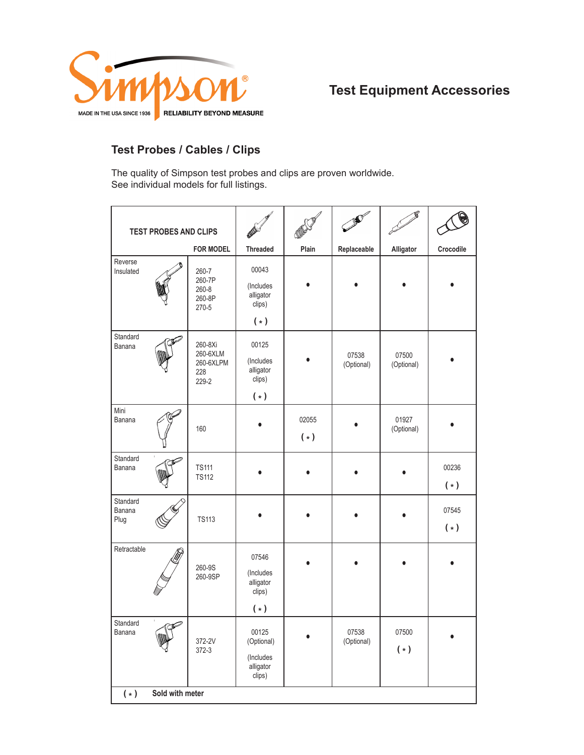

# **Test Equipment Accessories**

### **Test Probes / Cables / Clips**

The quality of Simpson test probes and clips are proven worldwide. See individual models for full listings.

| <b>TEST PROBES AND CLIPS</b>    |                   |                                                  |                                                         |                |                     |                       |                |
|---------------------------------|-------------------|--------------------------------------------------|---------------------------------------------------------|----------------|---------------------|-----------------------|----------------|
|                                 |                   | <b>FOR MODEL</b>                                 | <b>Threaded</b>                                         | Plain          | Replaceable         | Alligator             | Crocodile      |
| Reverse<br>Insulated            |                   | 260-7<br>260-7P<br>260-8<br>260-8P<br>270-5      | 00043<br>(Includes<br>alligator<br>clips)<br>$(*)$      |                |                     |                       |                |
| Standard<br>Banana              |                   | 260-8Xi<br>260-6XLM<br>260-6XLPM<br>228<br>229-2 | 00125<br>(Includes<br>alligator<br>clips)<br>$(*)$      |                | 07538<br>(Optional) | 07500<br>(Optional)   |                |
| Mini<br>Banana                  |                   | 160                                              |                                                         | 02055<br>$(*)$ |                     | 01927<br>(Optional)   |                |
| Standard<br>Banana              |                   | <b>TS111</b><br><b>TS112</b>                     |                                                         |                |                     |                       | 00236<br>$(*)$ |
| Standard<br>Banana<br>Plug      |                   | <b>TS113</b>                                     |                                                         |                |                     |                       | 07545<br>$(*)$ |
| Retractable                     |                   | 260-9S<br>260-9SP                                | 07546<br>(Includes<br>alligator<br>clips)<br>$(*)$      |                |                     |                       |                |
| Standard<br>Banana              | $\mathbb{Z}$<br>M | 372-2V<br>$372-3$                                | 00125<br>(Optional)<br>(Includes<br>alligator<br>clips) | $\bullet$      | 07538<br>(Optional) | 07500<br>$(\,\ast\,)$ | $\bullet$      |
| Sold with meter<br>$(\,\ast\,)$ |                   |                                                  |                                                         |                |                     |                       |                |